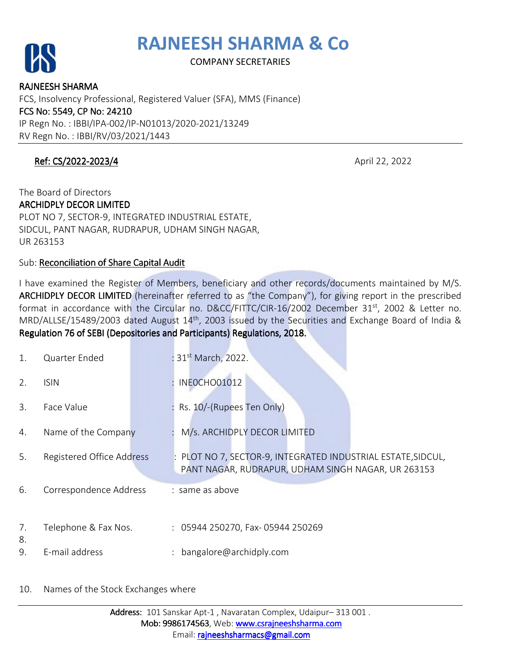



COMPANY SECRETARIES

RAJNEESH SHARMA FCS, Insolvency Professional, Registered Valuer (SFA), MMS (Finance) FCS No: 5549, CP No: 24210 IP Regn No. : IBBI/IPA-002/IP-N01013/2020-2021/13249 RV Regn No. : IBBI/RV/03/2021/1443

## **Ref: CS/2022-2023/4** April 22, 2022

## The Board of Directors **ARCHIDPLY DECOR LIMITED** PLOT NO 7, SECTOR-9, INTEGRATED INDUSTRIAL ESTATE, SIDCUL, PANT NAGAR, RUDRAPUR, UDHAM SINGH NAGAR, UR 263153

Sub: Reconciliation of Share Capital Audit

I have examined the Register of Members, beneficiary and other records/documents maintained by M/S. ARCHIDPLY DECOR LIMITED (hereinafter referred to as "the Company"), for giving report in the prescribed format in accordance with the Circular no. D&CC/FITTC/CIR-16/2002 December 31<sup>st</sup>, 2002 & Letter no. MRD/ALLSE/15489/2003 dated August 14th, 2003 issued by the Securities and Exchange Board of India & Regulation 76 of SEBI (Depositories and Participants) Regulations, 2018.

| 1.       | Quarter Ended             | : 31 <sup>st</sup> March, 2022.                                                                                  |  |
|----------|---------------------------|------------------------------------------------------------------------------------------------------------------|--|
| 2.       | <b>ISIN</b>               | INEOCHO01012                                                                                                     |  |
| 3.       | Face Value                | Rs. 10/-(Rupees Ten Only)                                                                                        |  |
| 4.       | Name of the Company       | M/s. ARCHIDPLY DECOR LIMITED                                                                                     |  |
| 5.       | Registered Office Address | PLOT NO 7, SECTOR-9, INTEGRATED INDUSTRIAL ESTATE, SIDCUL,<br>PANT NAGAR, RUDRAPUR, UDHAM SINGH NAGAR, UR 263153 |  |
| 6.       | Correspondence Address    | : same as above                                                                                                  |  |
| 7.<br>8. | Telephone & Fax Nos.      | : 05944 250270, Fax- 05944 250269                                                                                |  |
| 9.       | E-mail address            | bangalore@archidply.com                                                                                          |  |

#### 10. Names of the Stock Exchanges where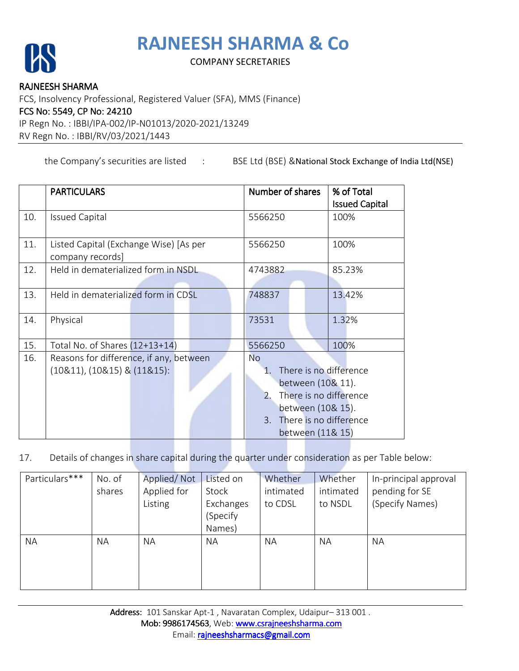# **RAJNEESH SHARMA & Co**



## COMPANY SECRETARIES

#### RAJNEESH SHARMA

FCS, Insolvency Professional, Registered Valuer (SFA), MMS (Finance)

#### FCS No: 5549, CP No: 24210

IP Regn No. : IBBI/IPA-002/IP-N01013/2020-2021/13249

RV Regn No. : IBBI/RV/03/2021/1443

the Company's securities are listed : BSE Ltd (BSE) & National Stock Exchange of India Ltd(NSE)

|     | <b>PARTICULARS</b>                      | Number of shares                | % of Total            |  |  |  |
|-----|-----------------------------------------|---------------------------------|-----------------------|--|--|--|
|     |                                         |                                 | <b>Issued Capital</b> |  |  |  |
| 10. | <b>Issued Capital</b>                   | 5566250                         | 100%                  |  |  |  |
|     |                                         |                                 |                       |  |  |  |
| 11. | Listed Capital (Exchange Wise) [As per  | 5566250                         | 100%                  |  |  |  |
|     | company records]                        |                                 |                       |  |  |  |
| 12. | Held in dematerialized form in NSDL     | 4743882                         | 85.23%                |  |  |  |
|     |                                         |                                 |                       |  |  |  |
| 13. | Held in dematerialized form in CDSL     | 748837                          | 13.42%                |  |  |  |
|     |                                         |                                 |                       |  |  |  |
| 14. | Physical                                | 73531                           | 1.32%                 |  |  |  |
|     |                                         |                                 |                       |  |  |  |
| 15. | Total No. of Shares (12+13+14)          | 5566250                         | 100%                  |  |  |  |
| 16. | Reasons for difference, if any, between | <b>No</b>                       |                       |  |  |  |
|     | $(10&11)$ , $(10&15)$ & $(11&15)$ :     | There is no difference<br>$1$ . |                       |  |  |  |
|     |                                         | between (10& 11).               |                       |  |  |  |
|     |                                         | There is no difference<br>2.    |                       |  |  |  |
|     |                                         | between (10& 15).               |                       |  |  |  |
|     |                                         | 3. There is no difference       |                       |  |  |  |
|     |                                         | between (11& 15)                |                       |  |  |  |

17. Details of changes in share capital during the quarter under consideration as per Table below:

| Particulars*** | No. of    | Applied/Not | Listed on | Whether   | Whether   | In-principal approval |
|----------------|-----------|-------------|-----------|-----------|-----------|-----------------------|
|                | shares    | Applied for | Stock     | intimated | intimated | pending for SE        |
|                |           | Listing     | Exchanges | to CDSL   | to NSDL   | (Specify Names)       |
|                |           |             | (Specify  |           |           |                       |
|                |           |             | Names)    |           |           |                       |
| <b>NA</b>      | <b>NA</b> | <b>NA</b>   | <b>NA</b> | <b>NA</b> | <b>NA</b> | <b>NA</b>             |
|                |           |             |           |           |           |                       |
|                |           |             |           |           |           |                       |
|                |           |             |           |           |           |                       |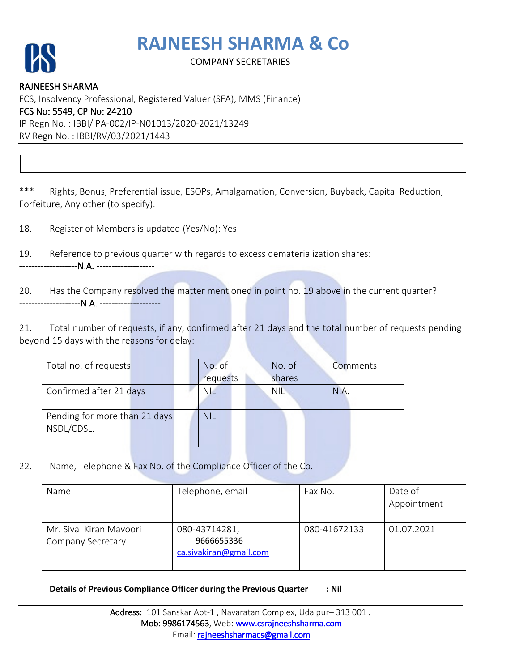# **RAJNEESH SHARMA & Co**



## COMPANY SECRETARIES

RAJNEESH SHARMA FCS, Insolvency Professional, Registered Valuer (SFA), MMS (Finance) FCS No: 5549, CP No: 24210 IP Regn No. : IBBI/IPA-002/IP-N01013/2020-2021/13249 RV Regn No. : IBBI/RV/03/2021/1443

\*\*\* Rights, Bonus, Preferential issue, ESOPs, Amalgamation, Conversion, Buyback, Capital Reduction, Forfeiture, Any other (to specify).

18. Register of Members is updated (Yes/No): Yes

19. Reference to previous quarter with regards to excess dematerialization shares:

-------------------N.A. ------------------- ------------------- -------------------

20. Has the Company resolved the matter mentioned in point no. 19 above in the current quarter? -----------------------N.A. -----------<del>-</del>----------

21. Total number of requests, if any, confirmed after 21 days and the total number of requests pending beyond 15 days with the reasons for delay:

| Total no. of requests         |  | No. of     | No. of     | Comments |
|-------------------------------|--|------------|------------|----------|
|                               |  | requests   | shares     |          |
| Confirmed after 21 days       |  | <b>NIL</b> | <b>NIL</b> | N.A.     |
|                               |  |            |            |          |
| Pending for more than 21 days |  | <b>NIL</b> |            |          |
| NSDL/CDSL.                    |  |            |            |          |
|                               |  |            |            |          |

22. Name, Telephone & Fax No. of the Compliance Officer of the Co.

| Name                                        | Telephone, email                                      | Fax No.      | Date of<br>Appointment |
|---------------------------------------------|-------------------------------------------------------|--------------|------------------------|
| Mr. Siva Kiran Mayoori<br>Company Secretary | 080-43714281,<br>9666655336<br>ca.sivakiran@gmail.com | 080-41672133 | 01.07.2021             |

**Details of Previous Compliance Officer during the Previous Quarter : Nil**